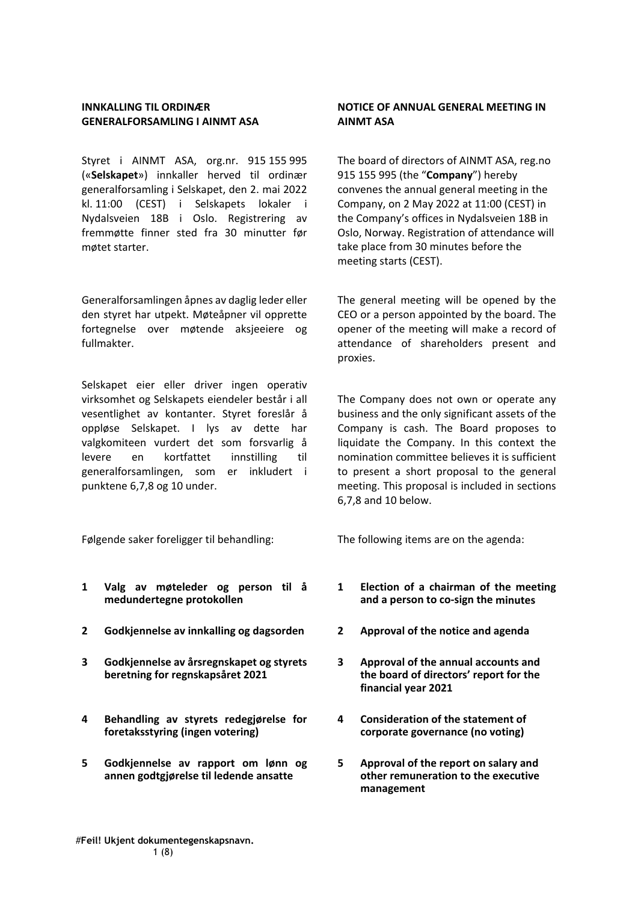# **INNKALLING TIL ORDINÆR GENERALFORSAMLING I AINMT ASA**

Styret i AINMT ASA, org.nr. 915 155 995 («**Selskapet**») innkaller herved til ordinær generalforsamling i Selskapet, den 2. mai 2022 kl. 11:00 (CEST) i Selskapets lokaler i Nydalsveien 18B i Oslo. Registrering av fremmøtte finner sted fra 30 minutter før møtet starter.

Generalforsamlingen åpnes av daglig leder eller den styret har utpekt. Møteåpner vil opprette fortegnelse over møtende aksjeeiere og fullmakter.

Selskapet eier eller driver ingen operativ virksomhet og Selskapets eiendeler består i all vesentlighet av kontanter. Styret foreslår å oppløse Selskapet. I lys av dette har valgkomiteen vurdert det som forsvarlig å levere en kortfattet innstilling til generalforsamlingen, som er inkludert i punktene 6,7,8 og 10 under.

Følgende saker foreligger til behandling: The following items are on the agenda:

- **1 Valg av møteleder og person til å medundertegne protokollen**
- **2 Godkjennelse av innkalling og dagsorden 2 Approval of the notice and agenda**
- **3 Godkjennelse av årsregnskapet og styrets beretning for regnskapsåret 2021**
- **4 Behandling av styrets redegjørelse for foretaksstyring (ingen votering)**
- **5 Godkjennelse av rapport om lønn og annen godtgjørelse til ledende ansatte**

# **NOTICE OF ANNUAL GENERAL MEETING IN AINMT ASA**

The board of directors of AINMT ASA, reg.no 915 155 995 (the "**Company**") hereby convenes the annual general meeting in the Company, on 2 May 2022 at 11:00 (CEST) in the Company's offices in Nydalsveien 18B in Oslo, Norway. Registration of attendance will take place from 30 minutes before the meeting starts (CEST).

The general meeting will be opened by the CEO or a person appointed by the board. The opener of the meeting will make a record of attendance of shareholders present and proxies.

The Company does not own or operate any business and the only significant assets of the Company is cash. The Board proposes to liquidate the Company. In this context the nomination committee believes it is sufficient to present a short proposal to the general meeting. This proposal is included in sections 6,7,8 and 10 below.

- **1 Election of a chairman of the meeting and a person to co‐sign the minutes**
- 
- **3 Approval of the annual accounts and the board of directors' report for the financial year 2021**
- **4 Consideration of the statement of corporate governance (no voting)**
- **5 Approval of the report on salary and other remuneration to the executive management**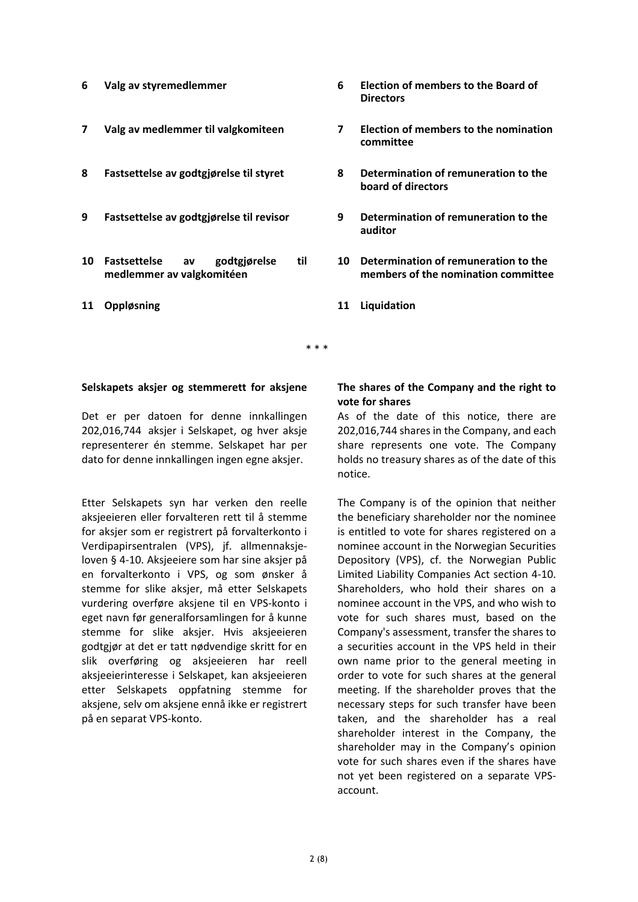- 
- 
- 
- 
- **10 Fastsettelse av godtgjørelse til medlemmer av valgkomitéen**
- **11 Oppløsning 11 Liquidation**
- **6 Valg av styremedlemmer 6 Election of members to the Board of Directors**
- **7 Valg av medlemmer til valgkomiteen 7 Election of members to the nomination committee**
- **8 Fastsettelse av godtgjørelse til styret 8 Determination of remuneration to the board of directors**
- **9 Fastsettelse av godtgjørelse til revisor 9 Determination of remuneration to the auditor**
	- **10 Determination of remuneration to the members of the nomination committee**
	-

\* \* \*

## **Selskapets aksjer og stemmerett for aksjene**

Det er per datoen for denne innkallingen 202,016,744 aksjer i Selskapet, og hver aksje representerer én stemme. Selskapet har per dato for denne innkallingen ingen egne aksjer.

Etter Selskapets syn har verken den reelle aksjeeieren eller forvalteren rett til å stemme for aksjer som er registrert på forvalterkonto i Verdipapirsentralen (VPS), jf. allmennaksje‐ loven § 4‐10. Aksjeeiere som har sine aksjer på en forvalterkonto i VPS, og som ønsker å stemme for slike aksjer, må etter Selskapets vurdering overføre aksjene til en VPS‐konto i eget navn før generalforsamlingen for å kunne stemme for slike aksjer. Hvis aksjeeieren godtgjør at det er tatt nødvendige skritt for en slik overføring og aksjeeieren har reell aksjeeierinteresse i Selskapet, kan aksjeeieren etter Selskapets oppfatning stemme for aksjene, selv om aksjene ennå ikke er registrert på en separat VPS‐konto.

# **The shares of the Company and the right to vote for shares**

As of the date of this notice, there are 202,016,744 shares in the Company, and each share represents one vote. The Company holds no treasury shares as of the date of this notice.

The Company is of the opinion that neither the beneficiary shareholder nor the nominee is entitled to vote for shares registered on a nominee account in the Norwegian Securities Depository (VPS), cf. the Norwegian Public Limited Liability Companies Act section 4‐10. Shareholders, who hold their shares on a nominee account in the VPS, and who wish to vote for such shares must, based on the Company's assessment, transfer the shares to a securities account in the VPS held in their own name prior to the general meeting in order to vote for such shares at the general meeting. If the shareholder proves that the necessary steps for such transfer have been taken, and the shareholder has a real shareholder interest in the Company, the shareholder may in the Company's opinion vote for such shares even if the shares have not yet been registered on a separate VPS‐ account.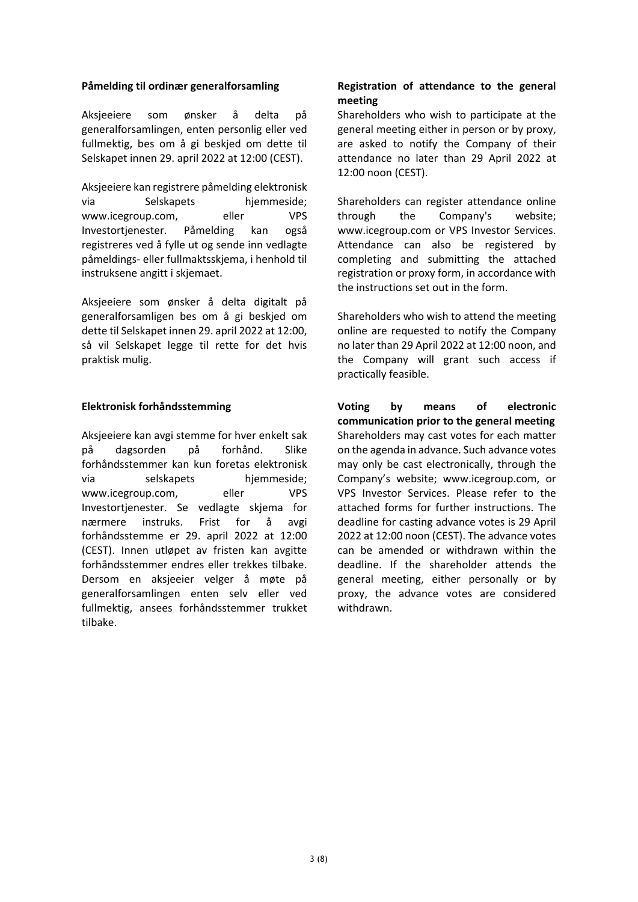# **Påmelding til ordinær generalforsamling**

Aksjeeiere som ønsker å delta på generalforsamlingen, enten personlig eller ved fullmektig, bes om å gi beskjed om dette til Selskapet innen 29. april 2022 at 12:00 (CEST).

Aksjeeiere kan registrere påmelding elektronisk via Selskapets hjemmeside; www.icegroup.com, eller VPS Investortjenester. Påmelding kan også registreres ved å fylle ut og sende inn vedlagte påmeldings‐ eller fullmaktsskjema, i henhold til instruksene angitt i skjemaet.

Aksjeeiere som ønsker å delta digitalt på generalforsamligen bes om å gi beskjed om dette til Selskapet innen 29. april 2022 at 12:00, så vil Selskapet legge til rette for det hvis praktisk mulig.

# **Elektronisk forhåndsstemming**

Aksjeeiere kan avgi stemme for hver enkelt sak på dagsorden på forhånd. Slike forhåndsstemmer kan kun foretas elektronisk via selskapets hjemmeside; www.icegroup.com, eller VPS Investortjenester. Se vedlagte skjema for nærmere instruks. Frist for å avgi forhåndsstemme er 29. april 2022 at 12:00 (CEST). Innen utløpet av fristen kan avgitte forhåndsstemmer endres eller trekkes tilbake. Dersom en aksjeeier velger å møte på generalforsamlingen enten selv eller ved fullmektig, ansees forhåndsstemmer trukket tilbake.

# **Registration of attendance to the general meeting**

Shareholders who wish to participate at the general meeting either in person or by proxy, are asked to notify the Company of their attendance no later than 29 April 2022 at 12:00 noon (CEST).

Shareholders can register attendance online through the Company's website; www.icegroup.com or VPS Investor Services. Attendance can also be registered by completing and submitting the attached registration or proxy form, in accordance with the instructions set out in the form.

Shareholders who wish to attend the meeting online are requested to notify the Company no later than 29 April 2022 at 12:00 noon, and the Company will grant such access if practically feasible.

**Voting by means of electronic communication prior to the general meeting** Shareholders may cast votes for each matter on the agenda in advance. Such advance votes may only be cast electronically, through the Company's website; www.icegroup.com, or VPS Investor Services. Please refer to the attached forms for further instructions. The deadline for casting advance votes is 29 April 2022 at 12:00 noon (CEST). The advance votes can be amended or withdrawn within the deadline. If the shareholder attends the general meeting, either personally or by proxy, the advance votes are considered withdrawn.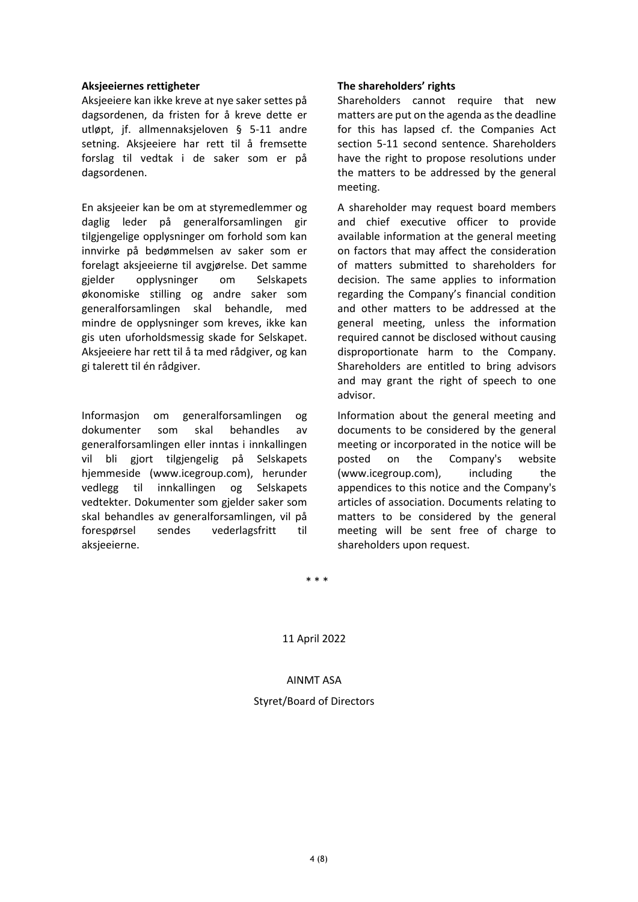### **Aksjeeiernes rettigheter**

Aksjeeiere kan ikke kreve at nye saker settes på dagsordenen, da fristen for å kreve dette er utløpt, jf. allmennaksjeloven § 5‐11 andre setning. Aksjeeiere har rett til å fremsette forslag til vedtak i de saker som er på dagsordenen.

En aksjeeier kan be om at styremedlemmer og daglig leder på generalforsamlingen gir tilgjengelige opplysninger om forhold som kan innvirke på bedømmelsen av saker som er forelagt aksjeeierne til avgjørelse. Det samme gjelder opplysninger om Selskapets økonomiske stilling og andre saker som generalforsamlingen skal behandle, med mindre de opplysninger som kreves, ikke kan gis uten uforholdsmessig skade for Selskapet. Aksjeeiere har rett til å ta med rådgiver, og kan gi talerett til én rådgiver.

Informasjon om generalforsamlingen og dokumenter som skal behandles av generalforsamlingen eller inntas i innkallingen vil bli gjort tilgjengelig på Selskapets hjemmeside (www.icegroup.com), herunder vedlegg til innkallingen og Selskapets vedtekter. Dokumenter som gjelder saker som skal behandles av generalforsamlingen, vil på forespørsel sendes vederlagsfritt til aksjeeierne.

## **The shareholders' rights**

Shareholders cannot require that new matters are put on the agenda asthe deadline for this has lapsed cf. the Companies Act section 5‐11 second sentence. Shareholders have the right to propose resolutions under the matters to be addressed by the general meeting.

A shareholder may request board members and chief executive officer to provide available information at the general meeting on factors that may affect the consideration of matters submitted to shareholders for decision. The same applies to information regarding the Company's financial condition and other matters to be addressed at the general meeting, unless the information required cannot be disclosed without causing disproportionate harm to the Company. Shareholders are entitled to bring advisors and may grant the right of speech to one advisor.

Information about the general meeting and documents to be considered by the general meeting or incorporated in the notice will be posted on the Company's website (www.icegroup.com), including the appendices to this notice and the Company's articles of association. Documents relating to matters to be considered by the general meeting will be sent free of charge to shareholders upon request.

\* \* \*

11 April 2022

AINMT ASA Styret/Board of Directors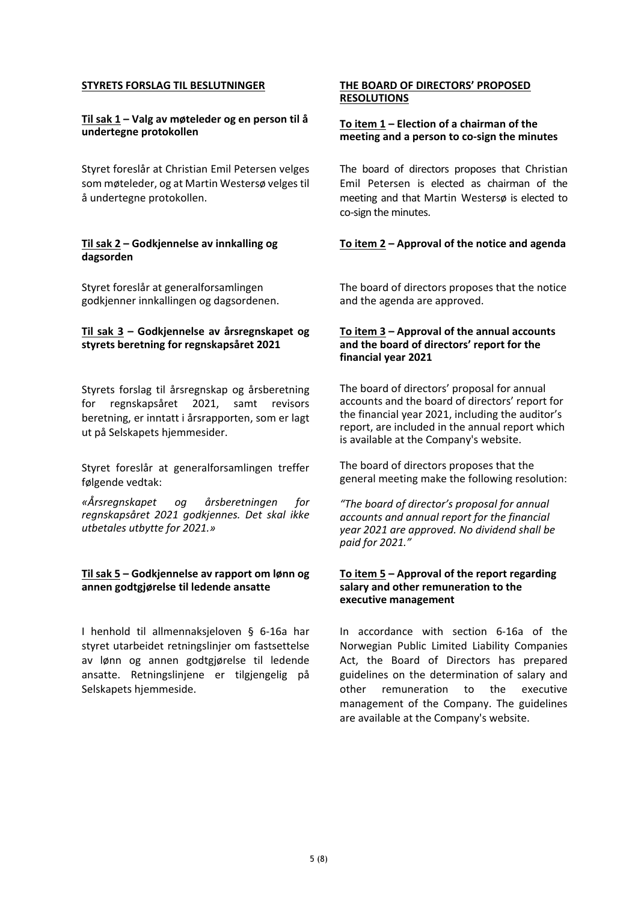## **STYRETS FORSLAG TIL BESLUTNINGER**

## **Til sak 1 – Valg av møteleder og en person til å undertegne protokollen**

Styret foreslår at Christian Emil Petersen velges som møteleder, og at Martin Westersø velges til å undertegne protokollen.

## **Til sak 2 – Godkjennelse av innkalling og dagsorden**

Styret foreslår at generalforsamlingen godkjenner innkallingen og dagsordenen.

### **Til sak 3 – Godkjennelse av årsregnskapet og styrets beretning for regnskapsåret 2021**

Styrets forslag til årsregnskap og årsberetning for regnskapsåret 2021, samt revisors beretning, er inntatt i årsrapporten, som er lagt ut på Selskapets hjemmesider.

Styret foreslår at generalforsamlingen treffer følgende vedtak:

*«Årsregnskapet og årsberetningen for regnskapsåret 2021 godkjennes. Det skal ikke utbetales utbytte for 2021.»*

### **Til sak 5 – Godkjennelse av rapport om lønn og annen godtgjørelse til ledende ansatte**

I henhold til allmennaksjeloven § 6‐16a har styret utarbeidet retningslinjer om fastsettelse av lønn og annen godtgjørelse til ledende ansatte. Retningslinjene er tilgjengelig på Selskapets hjemmeside.

### **THE BOARD OF DIRECTORS' PROPOSED RESOLUTIONS**

## **To item 1 – Election of a chairman of the meeting and a person to co‐sign the minutes**

The board of directors proposes that Christian Emil Petersen is elected as chairman of the meeting and that Martin Westersø is elected to co‐sign the minutes.

# **To item 2 – Approval of the notice and agenda**

The board of directors proposes that the notice and the agenda are approved.

### **To item 3 – Approval of the annual accounts and the board of directors' report for the financial year 2021**

The board of directors' proposal for annual accounts and the board of directors' report for the financial year 2021, including the auditor's report, are included in the annual report which is available at the Company's website.

The board of directors proposes that the general meeting make the following resolution:

*"The board of director's proposal for annual accounts and annual report for the financial year 2021 are approved. No dividend shall be paid for 2021."*

### **To item 5 – Approval of the report regarding salary and other remuneration to the executive management**

In accordance with section 6‐16a of the Norwegian Public Limited Liability Companies Act, the Board of Directors has prepared guidelines on the determination of salary and other remuneration to the executive management of the Company. The guidelines are available at the Company's website.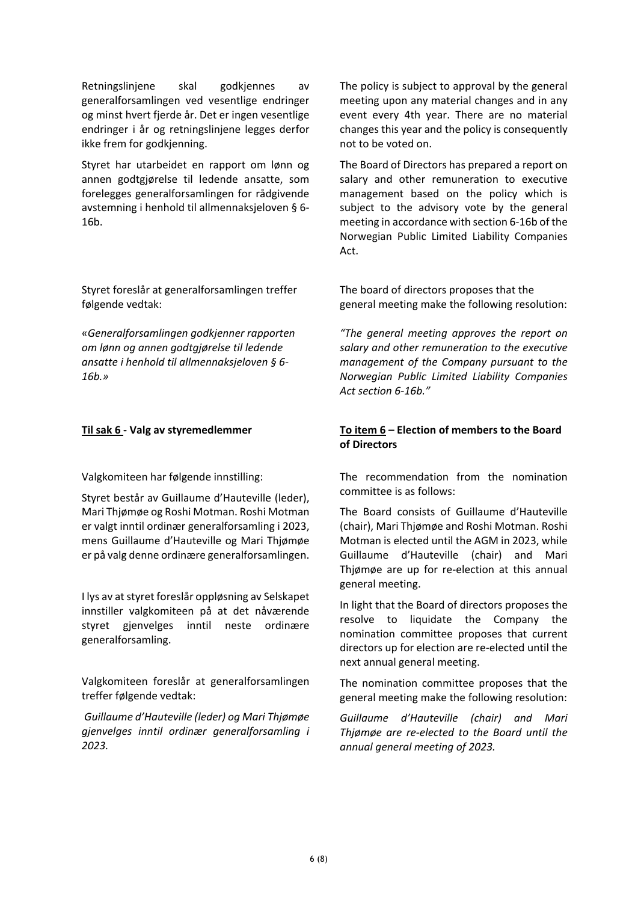Retningslinjene skal godkjennes av generalforsamlingen ved vesentlige endringer og minst hvert fjerde år. Det er ingen vesentlige endringer i år og retningslinjene legges derfor ikke frem for godkjenning.

Styret har utarbeidet en rapport om lønn og annen godtgjørelse til ledende ansatte, som forelegges generalforsamlingen for rådgivende avstemning i henhold til allmennaksjeloven § 6‐ 16b.

Styret foreslår at generalforsamlingen treffer følgende vedtak:

«*Generalforsamlingen godkjenner rapporten om lønn og annen godtgjørelse til ledende ansatte i henhold til allmennaksjeloven § 6‐ 16b.»*

Valgkomiteen har følgende innstilling:

Styret består av Guillaume d'Hauteville (leder), Mari Thjømøe og Roshi Motman. Roshi Motman er valgt inntil ordinær generalforsamling i 2023, mens Guillaume d'Hauteville og Mari Thjømøe er på valg denne ordinære generalforsamlingen.

I lys av at styret foreslår oppløsning av Selskapet innstiller valgkomiteen på at det nåværende styret gjenvelges inntil neste ordinære generalforsamling.

Valgkomiteen foreslår at generalforsamlingen treffer følgende vedtak:

*Guillaume d'Hauteville (leder) og Mari Thjømøe gjenvelges inntil ordinær generalforsamling i 2023.* 

The policy is subject to approval by the general meeting upon any material changes and in any event every 4th year. There are no material changes this year and the policy is consequently not to be voted on.

The Board of Directors has prepared a report on salary and other remuneration to executive management based on the policy which is subject to the advisory vote by the general meeting in accordance with section 6‐16b of the Norwegian Public Limited Liability Companies Act.

The board of directors proposes that the general meeting make the following resolution:

*"The general meeting approves the report on salary and other remuneration to the executive management of the Company pursuant to the Norwegian Public Limited Liability Companies Act section 6‐16b."*

# **Til sak 6 ‐ Valg av styremedlemmer To item 6 – Election of members to the Board of Directors**

The recommendation from the nomination committee is as follows:

The Board consists of Guillaume d'Hauteville (chair), Mari Thjømøe and Roshi Motman. Roshi Motman is elected until the AGM in 2023, while Guillaume d'Hauteville (chair) and Mari Thjømøe are up for re‐election at this annual general meeting.

In light that the Board of directors proposes the resolve to liquidate the Company the nomination committee proposes that current directors up for election are re‐elected until the next annual general meeting.

The nomination committee proposes that the general meeting make the following resolution:

*Guillaume d'Hauteville (chair) and Mari Thjømøe are re‐elected to the Board until the annual general meeting of 2023.*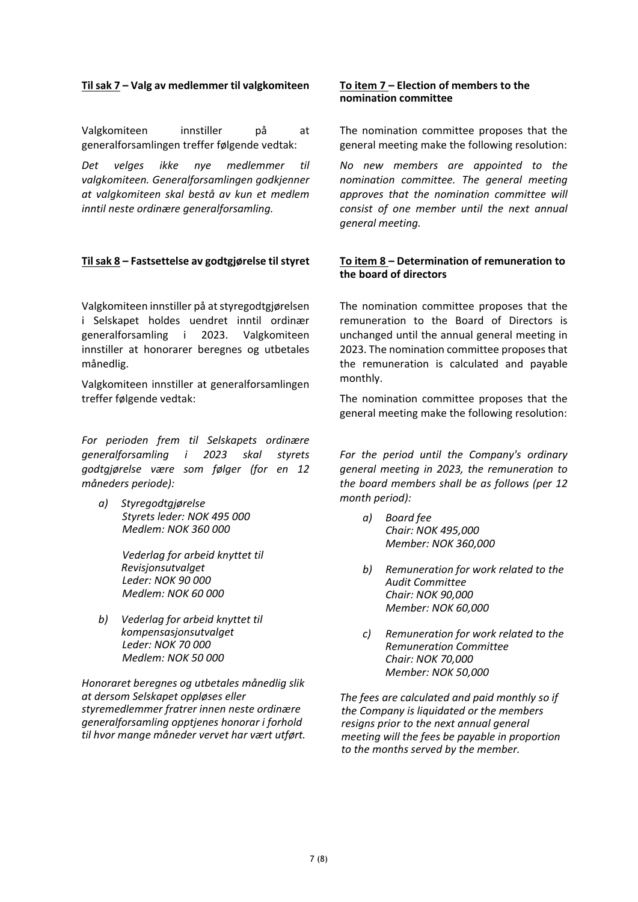# **Til sak 7 – Valg av medlemmer til valgkomiteen To item 7 – Election of members to the**

Valgkomiteen innstiller på at generalforsamlingen treffer følgende vedtak:

*Det velges ikke nye medlemmer til valgkomiteen. Generalforsamlingen godkjenner at valgkomiteen skal bestå av kun et medlem inntil neste ordinære generalforsamling.*

# **Til sak 8 – Fastsettelse av godtgjørelse til styret To item 8 – Determination of remuneration to**

Valgkomiteen innstiller på atstyregodtgjørelsen i Selskapet holdes uendret inntil ordinær generalforsamling i 2023. Valgkomiteen innstiller at honorarer beregnes og utbetales månedlig.

Valgkomiteen innstiller at generalforsamlingen treffer følgende vedtak:

*For perioden frem til Selskapets ordinære generalforsamling i 2023 skal styrets godtgjørelse være som følger (for en 12 måneders periode):*

*a) Styregodtgjørelse Styrets leder: NOK 495 000 Medlem: NOK 360 000*

> *Vederlag for arbeid knyttet til Revisjonsutvalget Leder: NOK 90 000 Medlem: NOK 60 000*

*b) Vederlag for arbeid knyttet til kompensasjonsutvalget Leder: NOK 70 000 Medlem: NOK 50 000*

*Honoraret beregnes og utbetales månedlig slik at dersom Selskapet oppløses eller styremedlemmer fratrer innen neste ordinære generalforsamling opptjenes honorar i forhold til hvor mange måneder vervet har vært utført.* 

# **nomination committee**

The nomination committee proposes that the general meeting make the following resolution:

*No new members are appointed to the nomination committee. The general meeting approves that the nomination committee will consist of one member until the next annual general meeting.*

# **the board of directors**

The nomination committee proposes that the remuneration to the Board of Directors is unchanged until the annual general meeting in 2023. The nomination committee proposes that the remuneration is calculated and payable monthly.

The nomination committee proposes that the general meeting make the following resolution:

*For the period until the Company's ordinary general meeting in 2023, the remuneration to the board members shall be as follows (per 12 month period):*

- *a) Board fee Chair: NOK 495,000 Member: NOK 360,000*
- *b) Remuneration for work related to the Audit Committee Chair: NOK 90,000 Member: NOK 60,000*
- *c) Remuneration for work related to the Remuneration Committee Chair: NOK 70,000 Member: NOK 50,000*

*The fees are calculated and paid monthly so if the Company is liquidated or the members resigns prior to the next annual general meeting will the fees be payable in proportion to the months served by the member.*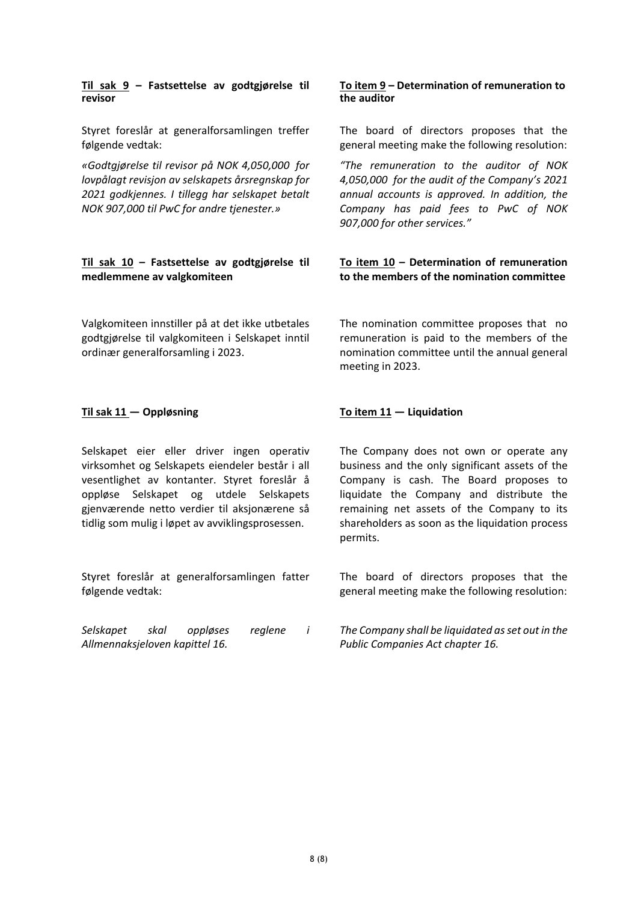### **Til sak 9 – Fastsettelse av godtgjørelse til revisor**

Styret foreslår at generalforsamlingen treffer følgende vedtak:

*«Godtgjørelse til revisor på NOK 4,050,000 for lovpålagt revisjon av selskapets årsregnskap for 2021 godkjennes. I tillegg har selskapet betalt NOK 907,000 til PwC for andre tjenester.»* 

# **Til sak 10 – Fastsettelse av godtgjørelse til medlemmene av valgkomiteen**

Valgkomiteen innstiller på at det ikke utbetales godtgjørelse til valgkomiteen i Selskapet inntil ordinær generalforsamling i 2023.

Selskapet eier eller driver ingen operativ virksomhet og Selskapets eiendeler består i all vesentlighet av kontanter. Styret foreslår å oppløse Selskapet og utdele Selskapets gjenværende netto verdier til aksjonærene så tidlig som mulig i løpet av avviklingsprosessen.

Styret foreslår at generalforsamlingen fatter følgende vedtak:

*Selskapet skal oppløses reglene i Allmennaksjeloven kapittel 16.*

# **To item 9 – Determination of remuneration to the auditor**

The board of directors proposes that the general meeting make the following resolution:

*"The remuneration to the auditor of NOK 4,050,000 for the audit of the Company's 2021 annual accounts is approved. In addition, the Company has paid fees to PwC of NOK 907,000 for other services."*

# **To item 10 – Determination of remuneration to the members of the nomination committee**

The nomination committee proposes that no remuneration is paid to the members of the nomination committee until the annual general meeting in 2023.

# **Til sak 11 — Oppløsning To item 11 — Liquidation**

The Company does not own or operate any business and the only significant assets of the Company is cash. The Board proposes to liquidate the Company and distribute the remaining net assets of the Company to its shareholders as soon as the liquidation process permits.

The board of directors proposes that the general meeting make the following resolution:

*The Company shall be liquidated asset out in the Public Companies Act chapter 16.*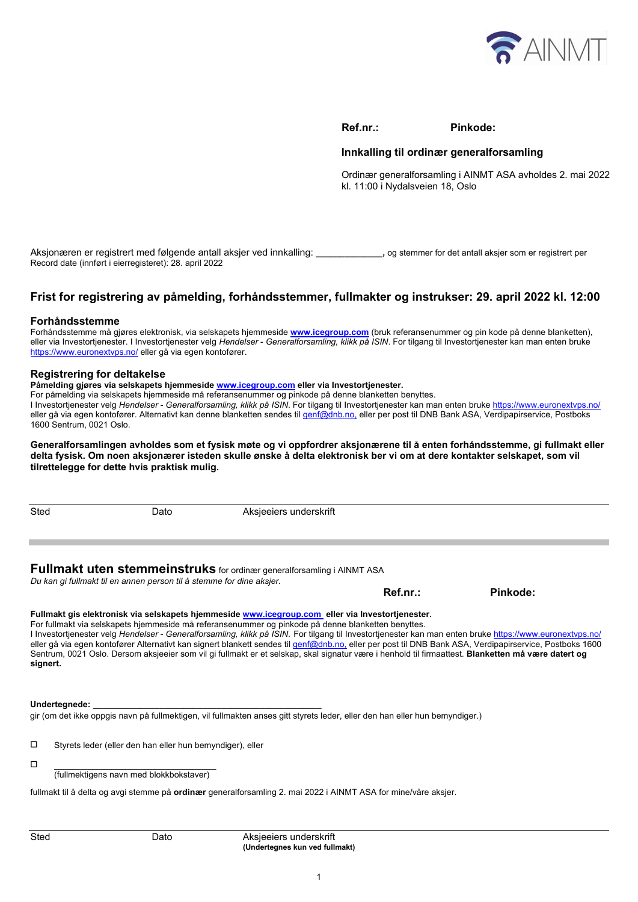

**Ref.nr.: Pinkode:** 

### **Innkalling til ordinær generalforsamling**

Ordinær generalforsamling i AINMT ASA avholdes 2. mai 2022 kl. 11:00 i Nydalsveien 18, Oslo

Aksjonæren er registrert med følgende antall aksjer ved innkalling: **\_\_\_\_\_\_\_\_\_\_\_\_\_\_,** og stemmer for det antall aksjer som er registrert per Record date (innført i eierregisteret): 28. april 2022

# **Frist for registrering av påmelding, forhåndsstemmer, fullmakter og instrukser: 29. april 2022 kl. 12:00**

### **Forhåndsstemme**

Forhåndsstemme må gjøres elektronisk, via selskapets hjemmeside **www.icegroup.com** (bruk referansenummer og pin kode på denne blanketten), eller via Investortjenester. I Investortjenester velg *Hendelser* - *Generalforsamling, klikk på ISIN*. For tilgang til Investortjenester kan man enten bruke https://www.euronextvps.no/ eller gå via egen kontofører.

### **Registrering for deltakelse**

**Påmelding gjøres via selskapets hjemmeside www.icegroup.com eller via Investortjenester.**

For påmelding via selskapets hjemmeside må referansenummer og pinkode på denne blanketten benyttes.

I Investortjenester velg *Hendelser* - *Generalforsamling, klikk på ISIN*. For tilgang til Investortjenester kan man enten bruke https://www.euronextvps.no/ eller gå via egen kontofører. Alternativt kan denne blanketten sendes til genf@dnb.no, eller per post til DNB Bank ASA, Verdipapirservice, Postboks 1600 Sentrum, 0021 Oslo.

**Generalforsamlingen avholdes som et fysisk møte og vi oppfordrer aksjonærene til å enten forhåndsstemme, gi fullmakt eller delta fysisk. Om noen aksjonærer isteden skulle ønske å delta elektronisk ber vi om at dere kontakter selskapet, som vil tilrettelegge for dette hvis praktisk mulig.** 

Sted Dato Dato Aksieeiers underskrift **Fullmakt uten stemmeinstruks** for ordinær generalforsamling i AINMT ASA

# *Du kan gi fullmakt til en annen person til å stemme for dine aksjer.*

 **Ref.nr.: Pinkode:** 

### **Fullmakt gis elektronisk via selskapets hjemmeside www.icegroup.com eller via Investortjenester.**

For fullmakt via selskapets hjemmeside må referansenummer og pinkode på denne blanketten benyttes. I Investortjenester velg *Hendelser* - *Generalforsamling, klikk på ISIN*. For tilgang til Investortjenester kan man enten bruke https://www.euronextvps.no/ eller gå via egen kontofører Alternativt kan signert blankett sendes til genf@dnb.no, eller per post til DNB Bank ASA, Verdipapirservice, Postboks 1600 Sentrum, 0021 Oslo. Dersom aksjeeier som vil gi fullmakt er et selskap, skal signatur være i henhold til firmaattest. **Blanketten må være datert og signert.** 

### **Undertegnede: \_\_\_\_\_\_\_\_\_\_\_\_\_\_\_\_\_\_\_\_\_\_\_\_\_\_\_\_\_\_\_\_\_\_\_\_\_\_\_\_\_\_\_\_\_\_\_\_**

gir (om det ikke oppgis navn på fullmektigen, vil fullmakten anses gitt styrets leder, eller den han eller hun bemyndiger.)

Styrets leder (eller den han eller hun bemyndiger), eller

 \_\_\_\_\_\_\_\_\_\_\_\_\_\_\_\_\_\_\_\_\_\_\_\_\_\_\_\_\_\_\_\_\_\_ (fullmektigens navn med blokkbokstaver)

fullmakt til å delta og avgi stemme på **ordinær** generalforsamling 2. mai 2022 i AINMT ASA for mine/våre aksjer.

Sted Dato Dato Aksjeeiers underskrift **(Undertegnes kun ved fullmakt)**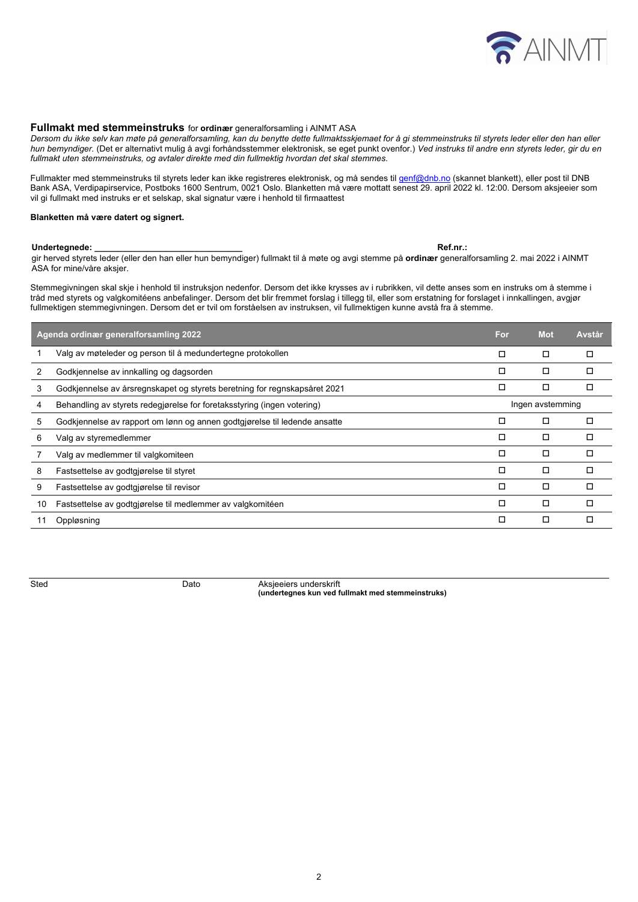

### **Fullmakt med stemmeinstruks** for **ordinær** generalforsamling i AINMT ASA

*Dersom du ikke selv kan møte på generalforsamling, kan du benytte dette fullmaktsskjemaet for å gi stemmeinstruks til styrets leder eller den han eller hun bemyndiger.* (Det er alternativt mulig å avgi forhåndsstemmer elektronisk, se eget punkt ovenfor.) *Ved instruks til andre enn styrets leder, gir du en fullmakt uten stemmeinstruks, og avtaler direkte med din fullmektig hvordan det skal stemmes.* 

Fullmakter med stemmeinstruks til styrets leder kan ikke registreres elektronisk, og må sendes til genf@dnb.no (skannet blankett), eller post til DNB Bank ASA, Verdipapirservice, Postboks 1600 Sentrum, 0021 Oslo. Blanketten må være mottatt senest 29. april 2022 kl. 12:00. Dersom aksjeeier som vil gi fullmakt med instruks er et selskap, skal signatur være i henhold til firmaattest

### **Blanketten må være datert og signert.**

### **Undertegnede: \_\_\_\_\_\_\_\_\_\_\_\_\_\_\_\_\_\_\_\_\_\_\_\_\_\_\_\_\_\_\_ Ref.nr.:**

gir herved styrets leder (eller den han eller hun bemyndiger) fullmakt til å møte og avgi stemme på **ordinær** generalforsamling 2. mai 2022 i AINMT ASA for mine/våre aksjer.

Stemmegivningen skal skje i henhold til instruksjon nedenfor. Dersom det ikke krysses av i rubrikken, vil dette anses som en instruks om å stemme i tråd med styrets og valgkomitéens anbefalinger. Dersom det blir fremmet forslag i tillegg til, eller som erstatning for forslaget i innkallingen, avgjør fullmektigen stemmegivningen. Dersom det er tvil om forståelsen av instruksen, vil fullmektigen kunne avstå fra å stemme.

| Agenda ordinær generalforsamling 2022 |                                                                           | For              | <b>Mot</b> | <b>Avstår</b> |
|---------------------------------------|---------------------------------------------------------------------------|------------------|------------|---------------|
|                                       | Valg av møteleder og person til å medundertegne protokollen               | □                | ◻          |               |
| 2                                     | Godkjennelse av innkalling og dagsorden                                   | □                | ◻          |               |
| 3                                     | Godkjennelse av årsregnskapet og styrets beretning for regnskapsåret 2021 | □                | □          |               |
| 4                                     | Behandling av styrets redegiørelse for foretaksstyring (ingen votering)   | Ingen avstemming |            |               |
| 5                                     | Godkjennelse av rapport om lønn og annen godtgjørelse til ledende ansatte | □                | □          |               |
| 6                                     | Valg av styremedlemmer                                                    | □                | ◻          |               |
|                                       | Valg av medlemmer til valgkomiteen                                        | Е                | □          |               |
| 8                                     | Fastsettelse av godtgjørelse til styret                                   | Е                | ◻          | п             |
| 9                                     | Fastsettelse av godtgjørelse til revisor                                  | $\Box$           | ◻          | п             |
| 10                                    | Fastsettelse av godtgjørelse til medlemmer av valgkomitéen                | $\Box$           | ◻          | п             |
|                                       | Oppløsning                                                                | $\Box$           | ◻          | п             |
|                                       |                                                                           |                  |            |               |

**Sted Dato** Dato Aksieeiers underskrift **(undertegnes kun ved fullmakt med stemmeinstruks)**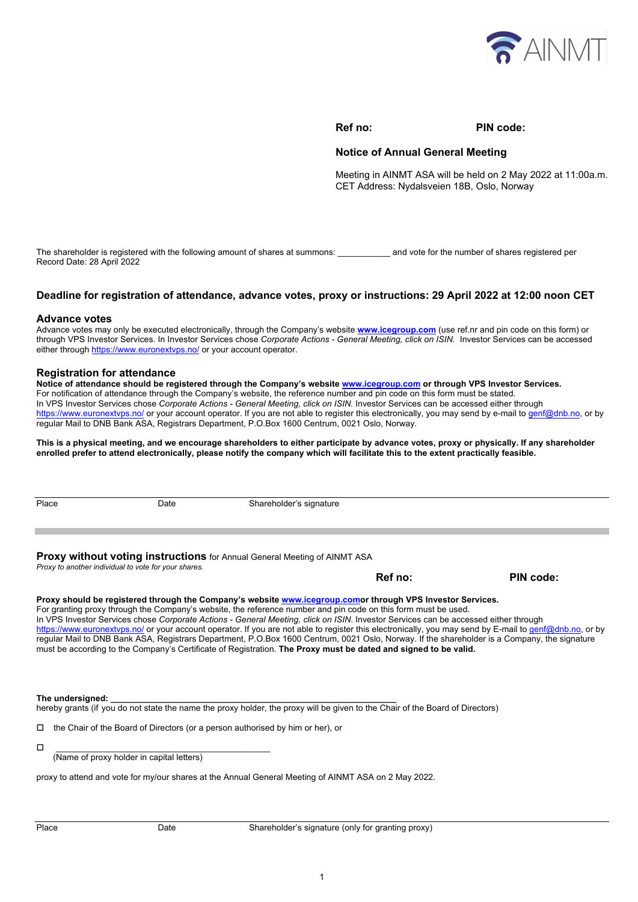

### **Ref no: PIN code:**

### **Notice of Annual General Meeting**

Meeting in AINMT ASA will be held on 2 May 2022 at 11:00a.m. CET Address: Nydalsveien 18B, Oslo, Norway

The shareholder is registered with the following amount of shares at summons: \_\_\_\_\_\_\_\_\_\_\_ and vote for the number of shares registered per Record Date: 28 April 2022

### **Deadline for registration of attendance, advance votes, proxy or instructions: 29 April 2022 at 12:00 noon CET**

### **Advance votes**

Advance votes may only be executed electronically, through the Company's website **www.icegroup.com** (use ref.nr and pin code on this form) or through VPS Investor Services. In Investor Services chose *Corporate Actions - General Meeting, click on ISIN.* Investor Services can be accessed either through https://www.euronextvps.no/ or your account operator.

### **Registration for attendance**

**Notice of attendance should be registered through the Company's website www.icegroup.com or through VPS Investor Services.** For notification of attendance through the Company's website, the reference number and pin code on this form must be stated. In VPS Investor Services chose *Corporate Actions - General Meeting, click on ISIN.* Investor Services can be accessed either through https://www.euronextvps.no/ or your account operator. If you are not able to register this electronically, you may send by e-mail to genf@dnb.no, or by regular Mail to DNB Bank ASA, Registrars Department, P.O.Box 1600 Centrum, 0021 Oslo, Norway.

**This is a physical meeting, and we encourage shareholders to either participate by advance votes, proxy or physically. If any shareholder enrolled prefer to attend electronically, please notify the company which will facilitate this to the extent practically feasible.** 

| Place                                                                                                                             | Date | Shareholder's signature |           |  |  |  |  |  |
|-----------------------------------------------------------------------------------------------------------------------------------|------|-------------------------|-----------|--|--|--|--|--|
|                                                                                                                                   |      |                         |           |  |  |  |  |  |
| Proxy without voting instructions for Annual General Meeting of AINMT ASA<br>Proxy to another individual to vote for your shares. |      |                         |           |  |  |  |  |  |
|                                                                                                                                   |      | Ref no:                 | PIN code: |  |  |  |  |  |

### **Proxy should be registered through the Company's website www.icegroup.comor through VPS Investor Services.**  For granting proxy through the Company's website, the reference number and pin code on this form must be used. In VPS Investor Services chose *Corporate Actions - General Meeting, click on ISIN*. Investor Services can be accessed either through https://www.euronextyps.no/ or your account operator. If you are not able to register this electronically, you may send by E-mail to genf@dnb.no, or by regular Mail to DNB Bank ASA, Registrars Department, P.O.Box 1600 Centrum, 0021 Oslo, Norway. If the shareholder is a Company, the signature must be according to the Company's Certificate of Registration. **The Proxy must be dated and signed to be valid.**

### The undersianed:

hereby grants (if you do not state the name the proxy holder, the proxy will be given to the Chair of the Board of Directors)

 $\Box$  the Chair of the Board of Directors (or a person authorised by him or her), or

\_\_\_\_\_\_\_\_\_\_\_\_\_\_\_\_\_\_\_\_\_\_\_\_\_\_\_\_\_\_\_\_\_\_\_\_\_\_\_\_\_\_\_\_\_

(Name of proxy holder in capital letters)

proxy to attend and vote for my/our shares at the Annual General Meeting of AINMT ASA on 2 May 2022.